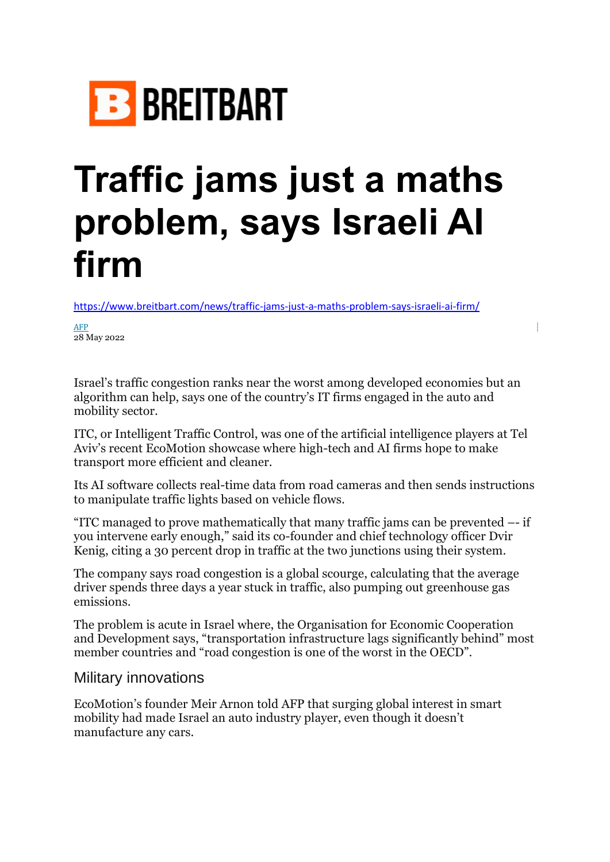

## **Traffic jams just a maths problem, says Israeli AI firm**

<https://www.breitbart.com/news/traffic-jams-just-a-maths-problem-says-israeli-ai-firm/>

[AFP](https://www.breitbart.com/news/source/afp/) 28 May 2022

Israel's traffic congestion ranks near the worst among developed economies but an algorithm can help, says one of the country's IT firms engaged in the auto and mobility sector.

ITC, or Intelligent Traffic Control, was one of the artificial intelligence players at Tel Aviv's recent EcoMotion showcase where high-tech and AI firms hope to make transport more efficient and cleaner.

Its AI software collects real-time data from road cameras and then sends instructions to manipulate traffic lights based on vehicle flows.

"ITC managed to prove mathematically that many traffic jams can be prevented –- if you intervene early enough," said its co-founder and chief technology officer Dvir Kenig, citing a 30 percent drop in traffic at the two junctions using their system.

The company says road congestion is a global scourge, calculating that the average driver spends three days a year stuck in traffic, also pumping out greenhouse gas emissions.

The problem is acute in Israel where, the Organisation for Economic Cooperation and Development says, "transportation infrastructure lags significantly behind" most member countries and "road congestion is one of the worst in the OECD".

## Military innovations

EcoMotion's founder Meir Arnon told AFP that surging global interest in smart mobility had made Israel an auto industry player, even though it doesn't manufacture any cars.